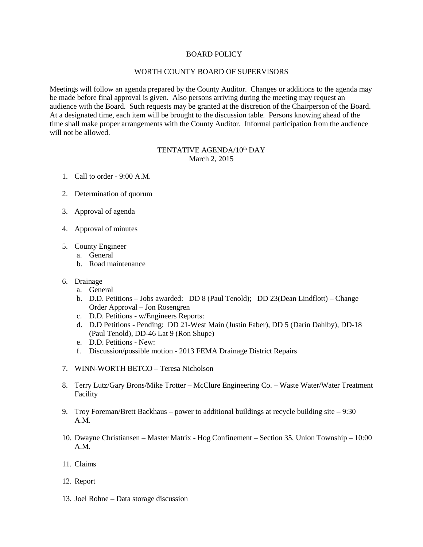## BOARD POLICY

## WORTH COUNTY BOARD OF SUPERVISORS

Meetings will follow an agenda prepared by the County Auditor. Changes or additions to the agenda may be made before final approval is given. Also persons arriving during the meeting may request an audience with the Board. Such requests may be granted at the discretion of the Chairperson of the Board. At a designated time, each item will be brought to the discussion table. Persons knowing ahead of the time shall make proper arrangements with the County Auditor. Informal participation from the audience will not be allowed.

## TENTATIVE AGENDA/10th DAY March 2, 2015

- 1. Call to order 9:00 A.M.
- 2. Determination of quorum
- 3. Approval of agenda
- 4. Approval of minutes
- 5. County Engineer
	- a. General
	- b. Road maintenance
- 6. Drainage
	- a. General
	- b. D.D. Petitions Jobs awarded: DD 8 (Paul Tenold); DD 23(Dean Lindflott) Change Order Approval – Jon Rosengren
	- c. D.D. Petitions w/Engineers Reports:
	- d. D.D Petitions Pending: DD 21-West Main (Justin Faber), DD 5 (Darin Dahlby), DD-18 (Paul Tenold), DD-46 Lat 9 (Ron Shupe)
	- e. D.D. Petitions New:
	- f. Discussion/possible motion 2013 FEMA Drainage District Repairs
- 7. WINN-WORTH BETCO Teresa Nicholson
- 8. Terry Lutz/Gary Brons/Mike Trotter McClure Engineering Co. Waste Water/Water Treatment Facility
- 9. Troy Foreman/Brett Backhaus power to additional buildings at recycle building site  $-9:30$ A.M.
- 10. Dwayne Christiansen Master Matrix Hog Confinement Section 35, Union Township 10:00 A.M.
- 11. Claims
- 12. Report
- 13. Joel Rohne Data storage discussion